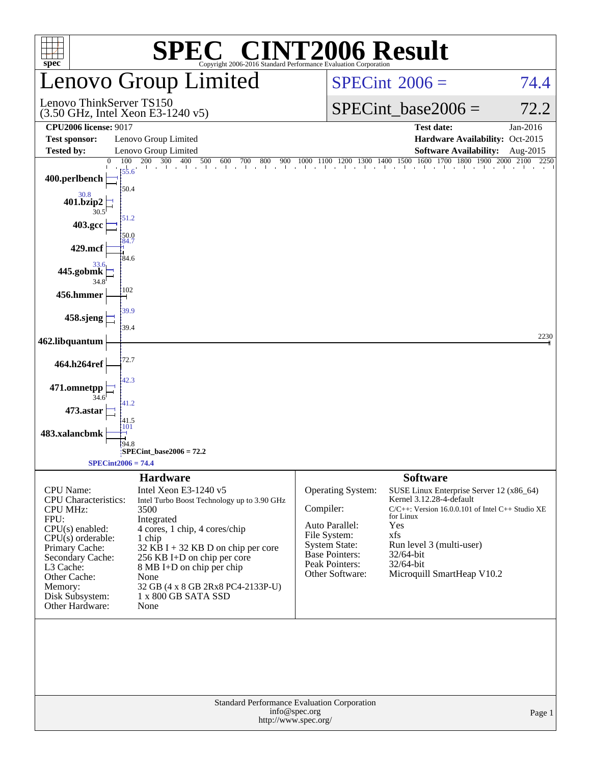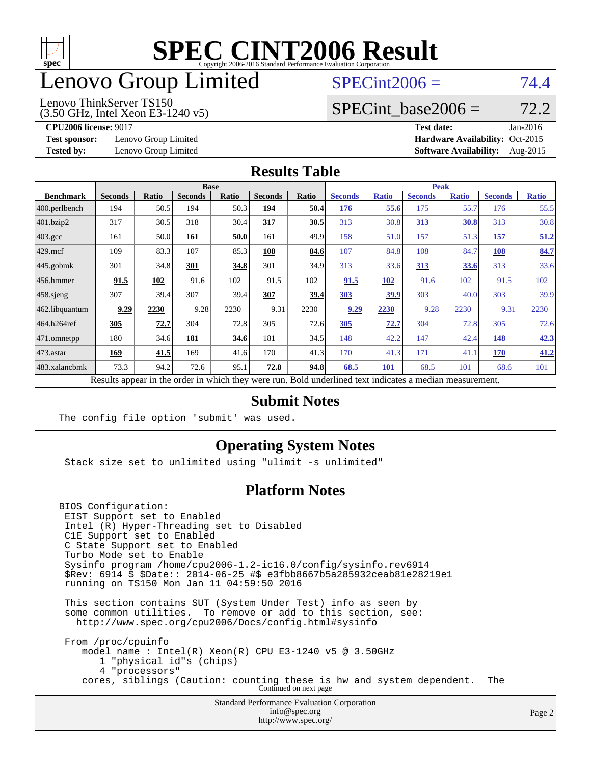

## enovo Group Limited

### $SPECint2006 = 74.4$  $SPECint2006 = 74.4$

(3.50 GHz, Intel Xeon E3-1240 v5) Lenovo ThinkServer TS150

SPECint base2006 =  $72.2$ 

**[Test sponsor:](http://www.spec.org/auto/cpu2006/Docs/result-fields.html#Testsponsor)** Lenovo Group Limited **[Hardware Availability:](http://www.spec.org/auto/cpu2006/Docs/result-fields.html#HardwareAvailability)** Oct-2015

**[CPU2006 license:](http://www.spec.org/auto/cpu2006/Docs/result-fields.html#CPU2006license)** 9017 **[Test date:](http://www.spec.org/auto/cpu2006/Docs/result-fields.html#Testdate)** Jan-2016 **[Tested by:](http://www.spec.org/auto/cpu2006/Docs/result-fields.html#Testedby)** Lenovo Group Limited **[Software Availability:](http://www.spec.org/auto/cpu2006/Docs/result-fields.html#SoftwareAvailability)** Aug-2015

#### **[Results Table](http://www.spec.org/auto/cpu2006/Docs/result-fields.html#ResultsTable)**

|                                                                                                          | <b>Base</b>    |              |                |       |                |       | <b>Peak</b>    |              |                |              |                |              |
|----------------------------------------------------------------------------------------------------------|----------------|--------------|----------------|-------|----------------|-------|----------------|--------------|----------------|--------------|----------------|--------------|
| <b>Benchmark</b>                                                                                         | <b>Seconds</b> | <b>Ratio</b> | <b>Seconds</b> | Ratio | <b>Seconds</b> | Ratio | <b>Seconds</b> | <b>Ratio</b> | <b>Seconds</b> | <b>Ratio</b> | <b>Seconds</b> | <b>Ratio</b> |
| 400.perlbench                                                                                            | 194            | 50.5         | 194            | 50.3  | 194            | 50.4  | 176            | 55.6         | 175            | 55.7         | 176            | 55.5         |
| 401.bzip2                                                                                                | 317            | 30.5         | 318            | 30.4  | 317            | 30.5  | 313            | 30.8         | 313            | 30.8         | 313            | 30.8         |
| $403.\mathrm{gcc}$                                                                                       | 161            | 50.0         | 161            | 50.0  | 161            | 49.9  | 158            | 51.0         | 157            | 51.3         | 157            | 51.2         |
| $429$ .mcf                                                                                               | 109            | 83.3         | 107            | 85.3  | 108            | 84.6  | 107            | 84.8         | 108            | 84.7         | <b>108</b>     | 84.7         |
| $445$ .gobmk                                                                                             | 301            | 34.8         | 301            | 34.8  | 301            | 34.9  | 313            | 33.6         | 313            | 33.6         | 313            | 33.6         |
| $456.$ hmmer                                                                                             | 91.5           | 102          | 91.6           | 102   | 91.5           | 102   | 91.5           | 102          | 91.6           | 102          | 91.5           | 102          |
| $458$ .sjeng                                                                                             | 307            | 39.4         | 307            | 39.4  | 307            | 39.4  | 303            | 39.9         | 303            | 40.0         | 303            | 39.9         |
| 462.libquantum                                                                                           | 9.29           | 2230         | 9.28           | 2230  | 9.31           | 2230  | 9.29           | 2230         | 9.28           | 2230         | 9.31           | 2230         |
| 464.h264ref                                                                                              | 305            | 72.7         | 304            | 72.8  | 305            | 72.6  | 305            | 72.7         | 304            | 72.8         | 305            | 72.6         |
| 471.omnetpp                                                                                              | 180            | 34.6         | 181            | 34.6  | 181            | 34.5  | 148            | 42.2         | 147            | 42.4         | 148            | 42.3         |
| 473.astar                                                                                                | 169            | 41.5         | 169            | 41.6  | 170            | 41.3  | 170            | 41.3         | 171            | 41.1         | 170            | 41.2         |
| 483.xalancbmk                                                                                            | 73.3           | 94.2         | 72.6           | 95.1  | 72.8           | 94.8  | 68.5           | 101          | 68.5           | 101          | 68.6           | 101          |
| Results appear in the order in which they were run. Bold underlined text indicates a median measurement. |                |              |                |       |                |       |                |              |                |              |                |              |

#### **[Submit Notes](http://www.spec.org/auto/cpu2006/Docs/result-fields.html#SubmitNotes)**

The config file option 'submit' was used.

#### **[Operating System Notes](http://www.spec.org/auto/cpu2006/Docs/result-fields.html#OperatingSystemNotes)**

Stack size set to unlimited using "ulimit -s unlimited"

#### **[Platform Notes](http://www.spec.org/auto/cpu2006/Docs/result-fields.html#PlatformNotes)**

BIOS Configuration: EIST Support set to Enabled Intel (R) Hyper-Threading set to Disabled C1E Support set to Enabled C State Support set to Enabled Turbo Mode set to Enable Sysinfo program /home/cpu2006-1.2-ic16.0/config/sysinfo.rev6914 \$Rev: 6914 \$ \$Date:: 2014-06-25 #\$ e3fbb8667b5a285932ceab81e28219e1 running on TS150 Mon Jan 11 04:59:50 2016 This section contains SUT (System Under Test) info as seen by some common utilities. To remove or add to this section, see: <http://www.spec.org/cpu2006/Docs/config.html#sysinfo>

 From /proc/cpuinfo model name : Intel(R) Xeon(R) CPU E3-1240 v5 @ 3.50GHz 1 "physical id"s (chips) 4 "processors" cores, siblings (Caution: counting these is hw and system dependent. The Continued on next page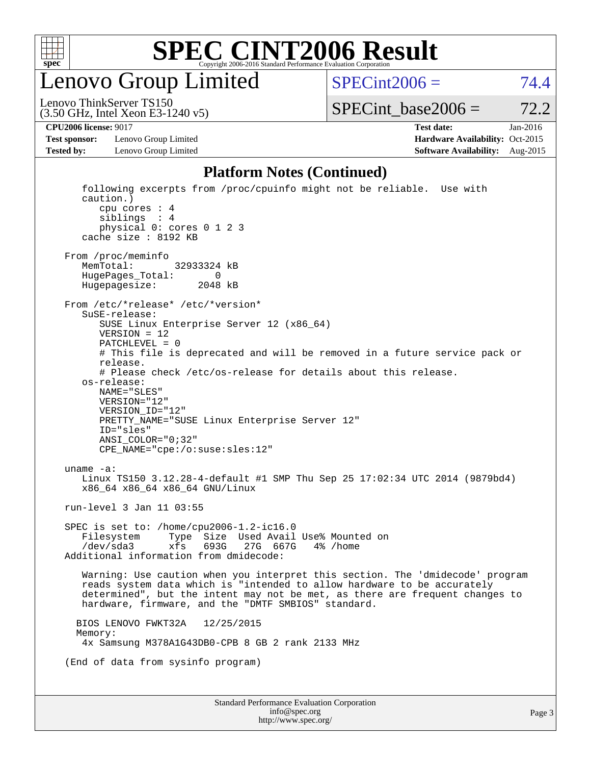

enovo Group Limited

 $SPECint2006 = 74.4$  $SPECint2006 = 74.4$ 

(3.50 GHz, Intel Xeon E3-1240 v5) Lenovo ThinkServer TS150

 $SPECTnt\_base2006 = 72.2$ 

**[Test sponsor:](http://www.spec.org/auto/cpu2006/Docs/result-fields.html#Testsponsor)** Lenovo Group Limited **[Hardware Availability:](http://www.spec.org/auto/cpu2006/Docs/result-fields.html#HardwareAvailability)** Oct-2015

**[CPU2006 license:](http://www.spec.org/auto/cpu2006/Docs/result-fields.html#CPU2006license)** 9017 **[Test date:](http://www.spec.org/auto/cpu2006/Docs/result-fields.html#Testdate)** Jan-2016 **[Tested by:](http://www.spec.org/auto/cpu2006/Docs/result-fields.html#Testedby)** Lenovo Group Limited **[Software Availability:](http://www.spec.org/auto/cpu2006/Docs/result-fields.html#SoftwareAvailability)** Aug-2015

#### **[Platform Notes \(Continued\)](http://www.spec.org/auto/cpu2006/Docs/result-fields.html#PlatformNotes)**

Standard Performance Evaluation Corporation [info@spec.org](mailto:info@spec.org) following excerpts from /proc/cpuinfo might not be reliable. Use with caution.) cpu cores : 4 siblings : 4 physical 0: cores 0 1 2 3 cache size : 8192 KB From /proc/meminfo MemTotal: 32933324 kB HugePages\_Total: 0<br>Hugepagesize: 2048 kB Hugepagesize: From /etc/\*release\* /etc/\*version\* SuSE-release: SUSE Linux Enterprise Server 12 (x86\_64) VERSION = 12 PATCHLEVEL = 0 # This file is deprecated and will be removed in a future service pack or release. # Please check /etc/os-release for details about this release. os-release: NAME="SLES" VERSION="12" VERSION\_ID="12" PRETTY NAME="SUSE Linux Enterprise Server 12" ID="sles" ANSI\_COLOR="0;32" CPE\_NAME="cpe:/o:suse:sles:12" uname -a: Linux TS150 3.12.28-4-default #1 SMP Thu Sep 25 17:02:34 UTC 2014 (9879bd4) x86\_64 x86\_64 x86\_64 GNU/Linux run-level 3 Jan 11 03:55 SPEC is set to: /home/cpu2006-1.2-ic16.0 Filesystem Type Size Used Avail Use% Mounted on<br>
/dev/sda3 xfs 693G 27G 667G 4% /home 27G 667G Additional information from dmidecode: Warning: Use caution when you interpret this section. The 'dmidecode' program reads system data which is "intended to allow hardware to be accurately determined", but the intent may not be met, as there are frequent changes to hardware, firmware, and the "DMTF SMBIOS" standard. BIOS LENOVO FWKT32A 12/25/2015 Memory: 4x Samsung M378A1G43DB0-CPB 8 GB 2 rank 2133 MHz (End of data from sysinfo program)

<http://www.spec.org/>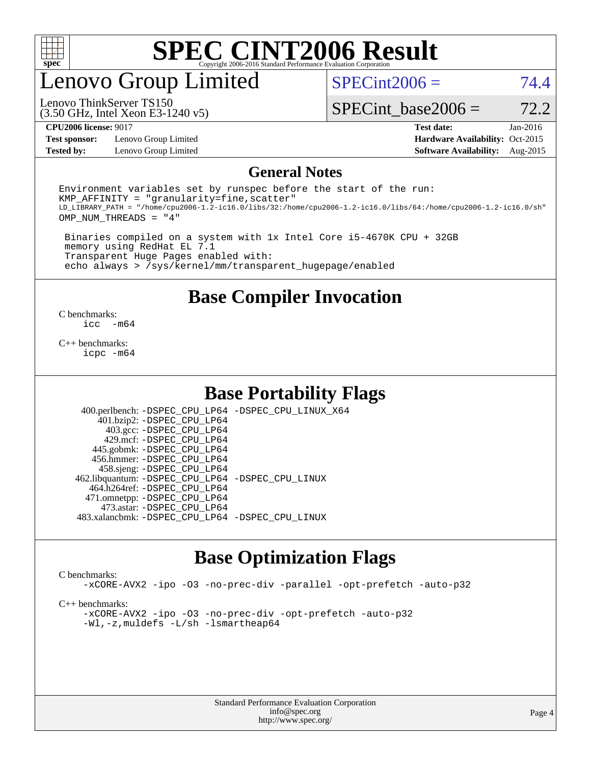

## enovo Group Limited

 $SPECint2006 = 74.4$  $SPECint2006 = 74.4$ 

(3.50 GHz, Intel Xeon E3-1240 v5) Lenovo ThinkServer TS150

SPECint base2006 =  $72.2$ 

**[Test sponsor:](http://www.spec.org/auto/cpu2006/Docs/result-fields.html#Testsponsor)** Lenovo Group Limited **[Hardware Availability:](http://www.spec.org/auto/cpu2006/Docs/result-fields.html#HardwareAvailability)** Oct-2015

**[CPU2006 license:](http://www.spec.org/auto/cpu2006/Docs/result-fields.html#CPU2006license)** 9017 **[Test date:](http://www.spec.org/auto/cpu2006/Docs/result-fields.html#Testdate)** Jan-2016 **[Tested by:](http://www.spec.org/auto/cpu2006/Docs/result-fields.html#Testedby)** Lenovo Group Limited **[Software Availability:](http://www.spec.org/auto/cpu2006/Docs/result-fields.html#SoftwareAvailability)** Aug-2015

#### **[General Notes](http://www.spec.org/auto/cpu2006/Docs/result-fields.html#GeneralNotes)**

Environment variables set by runspec before the start of the run:  $KMP$  AFFINITY = "granularity=fine, scatter" LD\_LIBRARY\_PATH = "/home/cpu2006-1.2-ic16.0/libs/32:/home/cpu2006-1.2-ic16.0/libs/64:/home/cpu2006-1.2-ic16.0/sh" OMP\_NUM\_THREADS = "4"

 Binaries compiled on a system with 1x Intel Core i5-4670K CPU + 32GB memory using RedHat EL 7.1 Transparent Huge Pages enabled with: echo always > /sys/kernel/mm/transparent\_hugepage/enabled

**[Base Compiler Invocation](http://www.spec.org/auto/cpu2006/Docs/result-fields.html#BaseCompilerInvocation)**

 $\frac{C \text{ benchmarks:}}{C \text{ C}}$ -m64

[C++ benchmarks:](http://www.spec.org/auto/cpu2006/Docs/result-fields.html#CXXbenchmarks) [icpc -m64](http://www.spec.org/cpu2006/results/res2016q1/cpu2006-20160125-38858.flags.html#user_CXXbase_intel_icpc_64bit_fc66a5337ce925472a5c54ad6a0de310)

#### **[Base Portability Flags](http://www.spec.org/auto/cpu2006/Docs/result-fields.html#BasePortabilityFlags)**

 400.perlbench: [-DSPEC\\_CPU\\_LP64](http://www.spec.org/cpu2006/results/res2016q1/cpu2006-20160125-38858.flags.html#b400.perlbench_basePORTABILITY_DSPEC_CPU_LP64) [-DSPEC\\_CPU\\_LINUX\\_X64](http://www.spec.org/cpu2006/results/res2016q1/cpu2006-20160125-38858.flags.html#b400.perlbench_baseCPORTABILITY_DSPEC_CPU_LINUX_X64) 401.bzip2: [-DSPEC\\_CPU\\_LP64](http://www.spec.org/cpu2006/results/res2016q1/cpu2006-20160125-38858.flags.html#suite_basePORTABILITY401_bzip2_DSPEC_CPU_LP64) 403.gcc: [-DSPEC\\_CPU\\_LP64](http://www.spec.org/cpu2006/results/res2016q1/cpu2006-20160125-38858.flags.html#suite_basePORTABILITY403_gcc_DSPEC_CPU_LP64) 429.mcf: [-DSPEC\\_CPU\\_LP64](http://www.spec.org/cpu2006/results/res2016q1/cpu2006-20160125-38858.flags.html#suite_basePORTABILITY429_mcf_DSPEC_CPU_LP64) 445.gobmk: [-DSPEC\\_CPU\\_LP64](http://www.spec.org/cpu2006/results/res2016q1/cpu2006-20160125-38858.flags.html#suite_basePORTABILITY445_gobmk_DSPEC_CPU_LP64) 456.hmmer: [-DSPEC\\_CPU\\_LP64](http://www.spec.org/cpu2006/results/res2016q1/cpu2006-20160125-38858.flags.html#suite_basePORTABILITY456_hmmer_DSPEC_CPU_LP64) 458.sjeng: [-DSPEC\\_CPU\\_LP64](http://www.spec.org/cpu2006/results/res2016q1/cpu2006-20160125-38858.flags.html#suite_basePORTABILITY458_sjeng_DSPEC_CPU_LP64) 462.libquantum: [-DSPEC\\_CPU\\_LP64](http://www.spec.org/cpu2006/results/res2016q1/cpu2006-20160125-38858.flags.html#suite_basePORTABILITY462_libquantum_DSPEC_CPU_LP64) [-DSPEC\\_CPU\\_LINUX](http://www.spec.org/cpu2006/results/res2016q1/cpu2006-20160125-38858.flags.html#b462.libquantum_baseCPORTABILITY_DSPEC_CPU_LINUX) 464.h264ref: [-DSPEC\\_CPU\\_LP64](http://www.spec.org/cpu2006/results/res2016q1/cpu2006-20160125-38858.flags.html#suite_basePORTABILITY464_h264ref_DSPEC_CPU_LP64) 471.omnetpp: [-DSPEC\\_CPU\\_LP64](http://www.spec.org/cpu2006/results/res2016q1/cpu2006-20160125-38858.flags.html#suite_basePORTABILITY471_omnetpp_DSPEC_CPU_LP64) 473.astar: [-DSPEC\\_CPU\\_LP64](http://www.spec.org/cpu2006/results/res2016q1/cpu2006-20160125-38858.flags.html#suite_basePORTABILITY473_astar_DSPEC_CPU_LP64) 483.xalancbmk: [-DSPEC\\_CPU\\_LP64](http://www.spec.org/cpu2006/results/res2016q1/cpu2006-20160125-38858.flags.html#suite_basePORTABILITY483_xalancbmk_DSPEC_CPU_LP64) [-DSPEC\\_CPU\\_LINUX](http://www.spec.org/cpu2006/results/res2016q1/cpu2006-20160125-38858.flags.html#b483.xalancbmk_baseCXXPORTABILITY_DSPEC_CPU_LINUX)

### **[Base Optimization Flags](http://www.spec.org/auto/cpu2006/Docs/result-fields.html#BaseOptimizationFlags)**

[C benchmarks](http://www.spec.org/auto/cpu2006/Docs/result-fields.html#Cbenchmarks):

[-xCORE-AVX2](http://www.spec.org/cpu2006/results/res2016q1/cpu2006-20160125-38858.flags.html#user_CCbase_f-xAVX2_5f5fc0cbe2c9f62c816d3e45806c70d7) [-ipo](http://www.spec.org/cpu2006/results/res2016q1/cpu2006-20160125-38858.flags.html#user_CCbase_f-ipo) [-O3](http://www.spec.org/cpu2006/results/res2016q1/cpu2006-20160125-38858.flags.html#user_CCbase_f-O3) [-no-prec-div](http://www.spec.org/cpu2006/results/res2016q1/cpu2006-20160125-38858.flags.html#user_CCbase_f-no-prec-div) [-parallel](http://www.spec.org/cpu2006/results/res2016q1/cpu2006-20160125-38858.flags.html#user_CCbase_f-parallel) [-opt-prefetch](http://www.spec.org/cpu2006/results/res2016q1/cpu2006-20160125-38858.flags.html#user_CCbase_f-opt-prefetch) [-auto-p32](http://www.spec.org/cpu2006/results/res2016q1/cpu2006-20160125-38858.flags.html#user_CCbase_f-auto-p32)

[C++ benchmarks:](http://www.spec.org/auto/cpu2006/Docs/result-fields.html#CXXbenchmarks)

[-xCORE-AVX2](http://www.spec.org/cpu2006/results/res2016q1/cpu2006-20160125-38858.flags.html#user_CXXbase_f-xAVX2_5f5fc0cbe2c9f62c816d3e45806c70d7) [-ipo](http://www.spec.org/cpu2006/results/res2016q1/cpu2006-20160125-38858.flags.html#user_CXXbase_f-ipo) [-O3](http://www.spec.org/cpu2006/results/res2016q1/cpu2006-20160125-38858.flags.html#user_CXXbase_f-O3) [-no-prec-div](http://www.spec.org/cpu2006/results/res2016q1/cpu2006-20160125-38858.flags.html#user_CXXbase_f-no-prec-div) [-opt-prefetch](http://www.spec.org/cpu2006/results/res2016q1/cpu2006-20160125-38858.flags.html#user_CXXbase_f-opt-prefetch) [-auto-p32](http://www.spec.org/cpu2006/results/res2016q1/cpu2006-20160125-38858.flags.html#user_CXXbase_f-auto-p32) [-Wl,-z,muldefs](http://www.spec.org/cpu2006/results/res2016q1/cpu2006-20160125-38858.flags.html#user_CXXbase_link_force_multiple1_74079c344b956b9658436fd1b6dd3a8a) [-L/sh -lsmartheap64](http://www.spec.org/cpu2006/results/res2016q1/cpu2006-20160125-38858.flags.html#user_CXXbase_SmartHeap64_ed4ef857ce90951921efb0d91eb88472)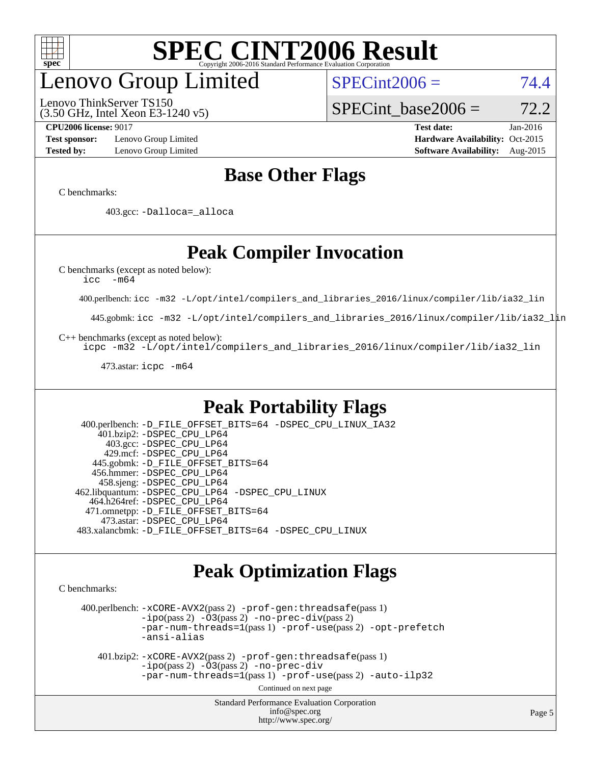

## enovo Group Limited

(3.50 GHz, Intel Xeon E3-1240 v5) Lenovo ThinkServer TS150

 $SPECint2006 = 74.4$  $SPECint2006 = 74.4$ 

SPECint base2006 =  $72.2$ 

**[Test sponsor:](http://www.spec.org/auto/cpu2006/Docs/result-fields.html#Testsponsor)** Lenovo Group Limited **[Hardware Availability:](http://www.spec.org/auto/cpu2006/Docs/result-fields.html#HardwareAvailability)** Oct-2015

**[CPU2006 license:](http://www.spec.org/auto/cpu2006/Docs/result-fields.html#CPU2006license)** 9017 **[Test date:](http://www.spec.org/auto/cpu2006/Docs/result-fields.html#Testdate)** Jan-2016 **[Tested by:](http://www.spec.org/auto/cpu2006/Docs/result-fields.html#Testedby)** Lenovo Group Limited **[Software Availability:](http://www.spec.org/auto/cpu2006/Docs/result-fields.html#SoftwareAvailability)** Aug-2015

## **[Base Other Flags](http://www.spec.org/auto/cpu2006/Docs/result-fields.html#BaseOtherFlags)**

[C benchmarks](http://www.spec.org/auto/cpu2006/Docs/result-fields.html#Cbenchmarks):

403.gcc: [-Dalloca=\\_alloca](http://www.spec.org/cpu2006/results/res2016q1/cpu2006-20160125-38858.flags.html#b403.gcc_baseEXTRA_CFLAGS_Dalloca_be3056838c12de2578596ca5467af7f3)

## **[Peak Compiler Invocation](http://www.spec.org/auto/cpu2006/Docs/result-fields.html#PeakCompilerInvocation)**

[C benchmarks \(except as noted below\)](http://www.spec.org/auto/cpu2006/Docs/result-fields.html#Cbenchmarksexceptasnotedbelow):

[icc -m64](http://www.spec.org/cpu2006/results/res2016q1/cpu2006-20160125-38858.flags.html#user_CCpeak_intel_icc_64bit_f346026e86af2a669e726fe758c88044)

400.perlbench: [icc -m32 -L/opt/intel/compilers\\_and\\_libraries\\_2016/linux/compiler/lib/ia32\\_lin](http://www.spec.org/cpu2006/results/res2016q1/cpu2006-20160125-38858.flags.html#user_peakCCLD400_perlbench_intel_icc_e10256ba5924b668798078a321b0cb3f)

445.gobmk: [icc -m32 -L/opt/intel/compilers\\_and\\_libraries\\_2016/linux/compiler/lib/ia32\\_lin](http://www.spec.org/cpu2006/results/res2016q1/cpu2006-20160125-38858.flags.html#user_peakCCLD445_gobmk_intel_icc_e10256ba5924b668798078a321b0cb3f)

[C++ benchmarks \(except as noted below\):](http://www.spec.org/auto/cpu2006/Docs/result-fields.html#CXXbenchmarksexceptasnotedbelow)

[icpc -m32 -L/opt/intel/compilers\\_and\\_libraries\\_2016/linux/compiler/lib/ia32\\_lin](http://www.spec.org/cpu2006/results/res2016q1/cpu2006-20160125-38858.flags.html#user_CXXpeak_intel_icpc_b4f50a394bdb4597aa5879c16bc3f5c5)

473.astar: [icpc -m64](http://www.spec.org/cpu2006/results/res2016q1/cpu2006-20160125-38858.flags.html#user_peakCXXLD473_astar_intel_icpc_64bit_fc66a5337ce925472a5c54ad6a0de310)

### **[Peak Portability Flags](http://www.spec.org/auto/cpu2006/Docs/result-fields.html#PeakPortabilityFlags)**

 400.perlbench: [-D\\_FILE\\_OFFSET\\_BITS=64](http://www.spec.org/cpu2006/results/res2016q1/cpu2006-20160125-38858.flags.html#user_peakPORTABILITY400_perlbench_file_offset_bits_64_438cf9856305ebd76870a2c6dc2689ab) [-DSPEC\\_CPU\\_LINUX\\_IA32](http://www.spec.org/cpu2006/results/res2016q1/cpu2006-20160125-38858.flags.html#b400.perlbench_peakCPORTABILITY_DSPEC_CPU_LINUX_IA32) 401.bzip2: [-DSPEC\\_CPU\\_LP64](http://www.spec.org/cpu2006/results/res2016q1/cpu2006-20160125-38858.flags.html#suite_peakPORTABILITY401_bzip2_DSPEC_CPU_LP64) 403.gcc: [-DSPEC\\_CPU\\_LP64](http://www.spec.org/cpu2006/results/res2016q1/cpu2006-20160125-38858.flags.html#suite_peakPORTABILITY403_gcc_DSPEC_CPU_LP64) 429.mcf: [-DSPEC\\_CPU\\_LP64](http://www.spec.org/cpu2006/results/res2016q1/cpu2006-20160125-38858.flags.html#suite_peakPORTABILITY429_mcf_DSPEC_CPU_LP64) 445.gobmk: [-D\\_FILE\\_OFFSET\\_BITS=64](http://www.spec.org/cpu2006/results/res2016q1/cpu2006-20160125-38858.flags.html#user_peakPORTABILITY445_gobmk_file_offset_bits_64_438cf9856305ebd76870a2c6dc2689ab) 456.hmmer: [-DSPEC\\_CPU\\_LP64](http://www.spec.org/cpu2006/results/res2016q1/cpu2006-20160125-38858.flags.html#suite_peakPORTABILITY456_hmmer_DSPEC_CPU_LP64) 458.sjeng: [-DSPEC\\_CPU\\_LP64](http://www.spec.org/cpu2006/results/res2016q1/cpu2006-20160125-38858.flags.html#suite_peakPORTABILITY458_sjeng_DSPEC_CPU_LP64) 462.libquantum: [-DSPEC\\_CPU\\_LP64](http://www.spec.org/cpu2006/results/res2016q1/cpu2006-20160125-38858.flags.html#suite_peakPORTABILITY462_libquantum_DSPEC_CPU_LP64) [-DSPEC\\_CPU\\_LINUX](http://www.spec.org/cpu2006/results/res2016q1/cpu2006-20160125-38858.flags.html#b462.libquantum_peakCPORTABILITY_DSPEC_CPU_LINUX) 464.h264ref: [-DSPEC\\_CPU\\_LP64](http://www.spec.org/cpu2006/results/res2016q1/cpu2006-20160125-38858.flags.html#suite_peakPORTABILITY464_h264ref_DSPEC_CPU_LP64) 471.omnetpp: [-D\\_FILE\\_OFFSET\\_BITS=64](http://www.spec.org/cpu2006/results/res2016q1/cpu2006-20160125-38858.flags.html#user_peakPORTABILITY471_omnetpp_file_offset_bits_64_438cf9856305ebd76870a2c6dc2689ab) 473.astar: [-DSPEC\\_CPU\\_LP64](http://www.spec.org/cpu2006/results/res2016q1/cpu2006-20160125-38858.flags.html#suite_peakPORTABILITY473_astar_DSPEC_CPU_LP64) 483.xalancbmk: [-D\\_FILE\\_OFFSET\\_BITS=64](http://www.spec.org/cpu2006/results/res2016q1/cpu2006-20160125-38858.flags.html#user_peakPORTABILITY483_xalancbmk_file_offset_bits_64_438cf9856305ebd76870a2c6dc2689ab) [-DSPEC\\_CPU\\_LINUX](http://www.spec.org/cpu2006/results/res2016q1/cpu2006-20160125-38858.flags.html#b483.xalancbmk_peakCXXPORTABILITY_DSPEC_CPU_LINUX)

### **[Peak Optimization Flags](http://www.spec.org/auto/cpu2006/Docs/result-fields.html#PeakOptimizationFlags)**

[C benchmarks](http://www.spec.org/auto/cpu2006/Docs/result-fields.html#Cbenchmarks):

 400.perlbench: [-xCORE-AVX2](http://www.spec.org/cpu2006/results/res2016q1/cpu2006-20160125-38858.flags.html#user_peakPASS2_CFLAGSPASS2_LDCFLAGS400_perlbench_f-xAVX2_5f5fc0cbe2c9f62c816d3e45806c70d7)(pass 2) [-prof-gen:threadsafe](http://www.spec.org/cpu2006/results/res2016q1/cpu2006-20160125-38858.flags.html#user_peakPASS1_CFLAGSPASS1_LDCFLAGS400_perlbench_prof_gen_21a26eb79f378b550acd7bec9fe4467a)(pass 1)  $-i\text{po}(pass 2) -\tilde{O}3(pass 2)$  [-no-prec-div](http://www.spec.org/cpu2006/results/res2016q1/cpu2006-20160125-38858.flags.html#user_peakPASS2_CFLAGSPASS2_LDCFLAGS400_perlbench_f-no-prec-div)(pass 2) [-par-num-threads=1](http://www.spec.org/cpu2006/results/res2016q1/cpu2006-20160125-38858.flags.html#user_peakPASS1_CFLAGSPASS1_LDCFLAGS400_perlbench_par_num_threads_786a6ff141b4e9e90432e998842df6c2)(pass 1) [-prof-use](http://www.spec.org/cpu2006/results/res2016q1/cpu2006-20160125-38858.flags.html#user_peakPASS2_CFLAGSPASS2_LDCFLAGS400_perlbench_prof_use_bccf7792157ff70d64e32fe3e1250b55)(pass 2) [-opt-prefetch](http://www.spec.org/cpu2006/results/res2016q1/cpu2006-20160125-38858.flags.html#user_peakCOPTIMIZE400_perlbench_f-opt-prefetch) [-ansi-alias](http://www.spec.org/cpu2006/results/res2016q1/cpu2006-20160125-38858.flags.html#user_peakCOPTIMIZE400_perlbench_f-ansi-alias)

 401.bzip2: [-xCORE-AVX2](http://www.spec.org/cpu2006/results/res2016q1/cpu2006-20160125-38858.flags.html#user_peakPASS2_CFLAGSPASS2_LDCFLAGS401_bzip2_f-xAVX2_5f5fc0cbe2c9f62c816d3e45806c70d7)(pass 2) [-prof-gen:threadsafe](http://www.spec.org/cpu2006/results/res2016q1/cpu2006-20160125-38858.flags.html#user_peakPASS1_CFLAGSPASS1_LDCFLAGS401_bzip2_prof_gen_21a26eb79f378b550acd7bec9fe4467a)(pass 1)  $-i\text{po}(pass 2) -\overline{O}3(pass 2)$  [-no-prec-div](http://www.spec.org/cpu2006/results/res2016q1/cpu2006-20160125-38858.flags.html#user_peakCOPTIMIZEPASS2_CFLAGSPASS2_LDCFLAGS401_bzip2_f-no-prec-div) [-par-num-threads=1](http://www.spec.org/cpu2006/results/res2016q1/cpu2006-20160125-38858.flags.html#user_peakPASS1_CFLAGSPASS1_LDCFLAGS401_bzip2_par_num_threads_786a6ff141b4e9e90432e998842df6c2)(pass 1) [-prof-use](http://www.spec.org/cpu2006/results/res2016q1/cpu2006-20160125-38858.flags.html#user_peakPASS2_CFLAGSPASS2_LDCFLAGS401_bzip2_prof_use_bccf7792157ff70d64e32fe3e1250b55)(pass 2) [-auto-ilp32](http://www.spec.org/cpu2006/results/res2016q1/cpu2006-20160125-38858.flags.html#user_peakCOPTIMIZE401_bzip2_f-auto-ilp32)

Continued on next page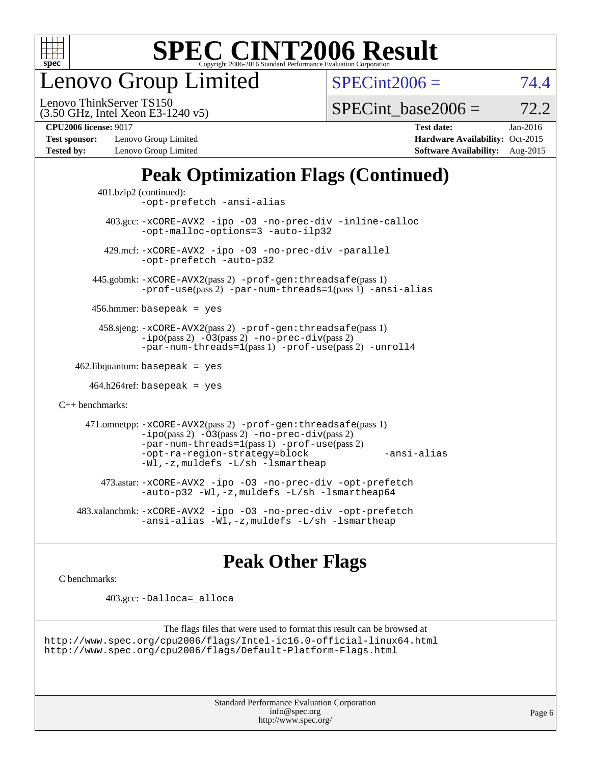

enovo Group Limited

 $SPECint2006 = 74.4$  $SPECint2006 = 74.4$ 

(3.50 GHz, Intel Xeon E3-1240 v5) Lenovo ThinkServer TS150

SPECint base2006 =  $72.2$ 

**[Test sponsor:](http://www.spec.org/auto/cpu2006/Docs/result-fields.html#Testsponsor)** Lenovo Group Limited **[Hardware Availability:](http://www.spec.org/auto/cpu2006/Docs/result-fields.html#HardwareAvailability)** Oct-2015 **[Tested by:](http://www.spec.org/auto/cpu2006/Docs/result-fields.html#Testedby)** Lenovo Group Limited **[Software Availability:](http://www.spec.org/auto/cpu2006/Docs/result-fields.html#SoftwareAvailability)** Aug-2015

**[CPU2006 license:](http://www.spec.org/auto/cpu2006/Docs/result-fields.html#CPU2006license)** 9017 **[Test date:](http://www.spec.org/auto/cpu2006/Docs/result-fields.html#Testdate)** Jan-2016

## **[Peak Optimization Flags \(Continued\)](http://www.spec.org/auto/cpu2006/Docs/result-fields.html#PeakOptimizationFlags)**

```
 401.bzip2 (continued):
                -opt-prefetch -ansi-alias
          403.gcc: -xCORE-AVX2 -ipo -O3 -no-prec-div -inline-calloc
                -opt-malloc-options=3 -auto-ilp32
         429.mcf: -xCORE-AVX2 -ipo -O3 -no-prec-div -parallel
                -opt-prefetch -auto-p32
       445.gobmk: -xCORE-AVX2(pass 2) -prof-gen:threadsafe(pass 1)
                -prof-use(pass 2) -par-num-threads=1(pass 1) -ansi-alias
       456.hmmer: basepeak = yes
        458.sjeng: -xCORE-AVX2(pass 2) -prof-gen:threadsafe(pass 1)
                -i\text{po}(pass 2) -\tilde{O}3(pass 2)-no-prec-div(pass 2)
                -par-num-threads=1(pass 1) -prof-use(pass 2) -unroll4
   462.libquantum: basepeak = yes
     464.h264ref: basepeak = yes
C++ benchmarks: 
      471.omnetpp: -xCORE-AVX2(pass 2) -prof-gen:threadsafe(pass 1)
                -i\text{po}(pass 2) -\overline{O}3(pass 2) -no-\overline{prec}\-div(pass 2)-par-num-threads=1(pass 1) -prof-use(pass 2)
                -opt-ra-region-strategy=block -ansi-alias
                -Wl,-z,muldefs -L/sh -lsmartheap
         473.astar: -xCORE-AVX2 -ipo -O3 -no-prec-div -opt-prefetch
                -auto-p32 -Wl,-z,muldefs -L/sh -lsmartheap64
    483.xalancbmk: -xCORE-AVX2 -ipo -O3 -no-prec-div -opt-prefetch
                -ansi-alias -Wl,-z,muldefs -L/sh -lsmartheap
```
### **[Peak Other Flags](http://www.spec.org/auto/cpu2006/Docs/result-fields.html#PeakOtherFlags)**

[C benchmarks](http://www.spec.org/auto/cpu2006/Docs/result-fields.html#Cbenchmarks):

403.gcc: [-Dalloca=\\_alloca](http://www.spec.org/cpu2006/results/res2016q1/cpu2006-20160125-38858.flags.html#b403.gcc_peakEXTRA_CFLAGS_Dalloca_be3056838c12de2578596ca5467af7f3)

```
The flags files that were used to format this result can be browsed at
http://www.spec.org/cpu2006/flags/Intel-ic16.0-official-linux64.html
http://www.spec.org/cpu2006/flags/Default-Platform-Flags.html
```